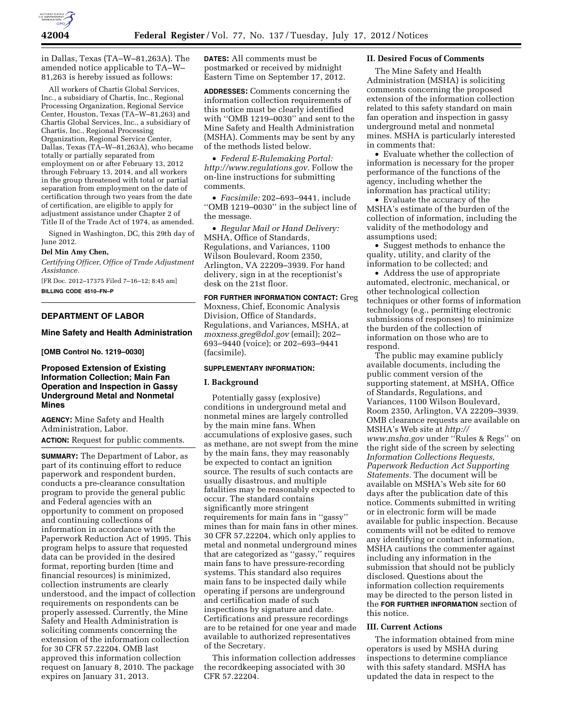

in Dallas, Texas (TA–W–81,263A). The amended notice applicable to TA–W– 81,263 is hereby issued as follows:

All workers of Chartis Global Services, Inc., a subsidiary of Chartis, Inc., Regional Processing Organization, Regional Service Center, Houston, Texas (TA–W–81,263) and Chartis Global Services, Inc., a subsidiary of Chartis, Inc., Regional Processing Organization, Regional Service Center, Dallas, Texas (TA–W–81,263A), who became totally or partially separated from employment on or after February 13, 2012 through February 13, 2014, and all workers in the group threatened with total or partial separation from employment on the date of certification through two years from the date of certification, are eligible to apply for adjustment assistance under Chapter 2 of Title II of the Trade Act of 1974, as amended.

Signed in Washington, DC, this 29th day of June 2012.

### **Del Min Amy Chen,**

*Certifying Officer, Office of Trade Adjustment Assistance.* 

[FR Doc. 2012–17375 Filed 7–16–12; 8:45 am] **BILLING CODE 4510–FN–P** 

# **DEPARTMENT OF LABOR**

# **Mine Safety and Health Administration**

**[OMB Control No. 1219–0030]** 

# **Proposed Extension of Existing Information Collection; Main Fan Operation and Inspection in Gassy Underground Metal and Nonmetal Mines**

**AGENCY:** Mine Safety and Health Administration, Labor.

**ACTION:** Request for public comments.

**SUMMARY:** The Department of Labor, as part of its continuing effort to reduce paperwork and respondent burden, conducts a pre-clearance consultation program to provide the general public and Federal agencies with an opportunity to comment on proposed and continuing collections of information in accordance with the Paperwork Reduction Act of 1995. This program helps to assure that requested data can be provided in the desired format, reporting burden (time and financial resources) is minimized, collection instruments are clearly understood, and the impact of collection requirements on respondents can be properly assessed. Currently, the Mine Safety and Health Administration is soliciting comments concerning the extension of the information collection for 30 CFR 57.22204. OMB last approved this information collection request on January 8, 2010. The package expires on January 31, 2013.

**DATES:** All comments must be postmarked or received by midnight Eastern Time on September 17, 2012.

**ADDRESSES:** Comments concerning the information collection requirements of this notice must be clearly identified with ''OMB 1219–0030'' and sent to the Mine Safety and Health Administration (MSHA). Comments may be sent by any of the methods listed below.

• *Federal E-Rulemaking Portal: [http://www.regulations.gov.](http://www.regulations.gov)* Follow the on-line instructions for submitting comments.

• *Facsimile:* 202–693–9441, include ''OMB 1219–0030'' in the subject line of the message.

• *Regular Mail or Hand Delivery:*  MSHA, Office of Standards, Regulations, and Variances, 1100 Wilson Boulevard, Room 2350, Arlington, VA 22209–3939. For hand delivery, sign in at the receptionist's desk on the 21st floor.

**FOR FURTHER INFORMATION CONTACT:** Greg Moxness, Chief, Economic Analysis Division, Office of Standards, Regulations, and Variances, MSHA, at *[moxness.greg@dol.gov](mailto:moxness.greg@dol.gov)* (email); 202– 693–9440 (voice); or 202–693–9441 (facsimile).

#### **SUPPLEMENTARY INFORMATION:**

#### **I. Background**

Potentially gassy (explosive) conditions in underground metal and nonmetal mines are largely controlled by the main mine fans. When accumulations of explosive gases, such as methane, are not swept from the mine by the main fans, they may reasonably be expected to contact an ignition source. The results of such contacts are usually disastrous, and multiple fatalities may be reasonably expected to occur. The standard contains significantly more stringent requirements for main fans in ''gassy'' mines than for main fans in other mines. 30 CFR 57.22204, which only applies to metal and nonmetal underground mines that are categorized as ''gassy,'' requires main fans to have pressure-recording systems. This standard also requires main fans to be inspected daily while operating if persons are underground and certification made of such inspections by signature and date. Certifications and pressure recordings are to be retained for one year and made available to authorized representatives of the Secretary.

This information collection addresses the recordkeeping associated with 30 CFR 57.22204.

## **II. Desired Focus of Comments**

The Mine Safety and Health Administration (MSHA) is soliciting comments concerning the proposed extension of the information collection related to this safety standard on main fan operation and inspection in gassy underground metal and nonmetal mines. MSHA is particularly interested in comments that:

• Evaluate whether the collection of information is necessary for the proper performance of the functions of the agency, including whether the information has practical utility;

• Evaluate the accuracy of the MSHA's estimate of the burden of the collection of information, including the validity of the methodology and assumptions used;

• Suggest methods to enhance the quality, utility, and clarity of the information to be collected; and

• Address the use of appropriate automated, electronic, mechanical, or other technological collection techniques or other forms of information technology (e.g., permitting electronic submissions of responses) to minimize the burden of the collection of information on those who are to respond.

The public may examine publicly available documents, including the public comment version of the supporting statement, at MSHA, Office of Standards, Regulations, and Variances, 1100 Wilson Boulevard, Room 2350, Arlington, VA 22209–3939. OMB clearance requests are available on MSHA's Web site at *[http://](http://www.msha.gov) [www.msha.gov](http://www.msha.gov)* under ''Rules & Regs'' on the right side of the screen by selecting *Information Collections Requests, Paperwork Reduction Act Supporting Statements.* The document will be available on MSHA's Web site for 60 days after the publication date of this notice. Comments submitted in writing or in electronic form will be made available for public inspection. Because comments will not be edited to remove any identifying or contact information, MSHA cautions the commenter against including any information in the submission that should not be publicly disclosed. Questions about the information collection requirements may be directed to the person listed in the **FOR FURTHER INFORMATION** section of this notice.

# **III. Current Actions**

The information obtained from mine operators is used by MSHA during inspections to determine compliance with this safety standard. MSHA has updated the data in respect to the